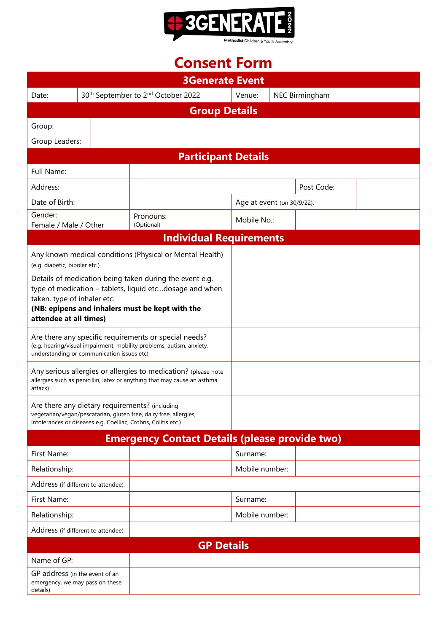

# **Consent Form**

| <b>3Generate Event</b>                                                                                                                                                                                  |  |                                                                                                                                                                                                                                                                                                                                                                    |                                                                                                                                    |                            |                |                |  |
|---------------------------------------------------------------------------------------------------------------------------------------------------------------------------------------------------------|--|--------------------------------------------------------------------------------------------------------------------------------------------------------------------------------------------------------------------------------------------------------------------------------------------------------------------------------------------------------------------|------------------------------------------------------------------------------------------------------------------------------------|----------------------------|----------------|----------------|--|
| Date:                                                                                                                                                                                                   |  |                                                                                                                                                                                                                                                                                                                                                                    | 30 <sup>th</sup> September to 2 <sup>nd</sup> October 2022                                                                         | Venue:                     |                | NEC Birmingham |  |
| <b>Group Details</b>                                                                                                                                                                                    |  |                                                                                                                                                                                                                                                                                                                                                                    |                                                                                                                                    |                            |                |                |  |
| Group:                                                                                                                                                                                                  |  |                                                                                                                                                                                                                                                                                                                                                                    |                                                                                                                                    |                            |                |                |  |
| Group Leaders:                                                                                                                                                                                          |  |                                                                                                                                                                                                                                                                                                                                                                    |                                                                                                                                    |                            |                |                |  |
| <b>Participant Details</b>                                                                                                                                                                              |  |                                                                                                                                                                                                                                                                                                                                                                    |                                                                                                                                    |                            |                |                |  |
| Full Name:                                                                                                                                                                                              |  |                                                                                                                                                                                                                                                                                                                                                                    |                                                                                                                                    |                            |                |                |  |
| Address:                                                                                                                                                                                                |  |                                                                                                                                                                                                                                                                                                                                                                    |                                                                                                                                    |                            | Post Code:     |                |  |
| Date of Birth:                                                                                                                                                                                          |  |                                                                                                                                                                                                                                                                                                                                                                    |                                                                                                                                    | Age at event (on 30/9/22): |                |                |  |
| Gender:<br>Female / Male / Other                                                                                                                                                                        |  |                                                                                                                                                                                                                                                                                                                                                                    | Pronouns:<br>(Optional)                                                                                                            |                            | Mobile No.:    |                |  |
| <b>Individual Requirements</b>                                                                                                                                                                          |  |                                                                                                                                                                                                                                                                                                                                                                    |                                                                                                                                    |                            |                |                |  |
| (e.g. diabetic, bipolar etc.)<br>taken, type of inhaler etc.<br>attendee at all times)<br>understanding or communication issues etc)                                                                    |  | Any known medical conditions (Physical or Mental Health)<br>Details of medication being taken during the event e.g.<br>type of medication - tablets, liquid etcdosage and when<br>(NB: epipens and inhalers must be kept with the<br>Are there any specific requirements or special needs?<br>(e.g. hearing/visual impairment, mobility problems, autism, anxiety, |                                                                                                                                    |                            |                |                |  |
| Any serious allergies or allergies to medication? (please note<br>allergies such as penicillin, latex or anything that may cause an asthma<br>attack)<br>Are there any dietary requirements? (including |  |                                                                                                                                                                                                                                                                                                                                                                    |                                                                                                                                    |                            |                |                |  |
|                                                                                                                                                                                                         |  |                                                                                                                                                                                                                                                                                                                                                                    | vegetarian/vegan/pescatarian, gluten free, dairy free, allergies,<br>intolerances or diseases e.g. Coelliac, Crohns, Colitis etc.) |                            |                |                |  |
| <b>Emergency Contact Details (please provide two)</b>                                                                                                                                                   |  |                                                                                                                                                                                                                                                                                                                                                                    |                                                                                                                                    |                            |                |                |  |
| First Name:                                                                                                                                                                                             |  |                                                                                                                                                                                                                                                                                                                                                                    |                                                                                                                                    | Surname:                   |                |                |  |
| Relationship:                                                                                                                                                                                           |  |                                                                                                                                                                                                                                                                                                                                                                    |                                                                                                                                    |                            | Mobile number: |                |  |
| Address (if different to attendee):                                                                                                                                                                     |  |                                                                                                                                                                                                                                                                                                                                                                    |                                                                                                                                    |                            |                |                |  |
| First Name:                                                                                                                                                                                             |  |                                                                                                                                                                                                                                                                                                                                                                    |                                                                                                                                    | Surname:                   |                |                |  |
| Relationship:                                                                                                                                                                                           |  |                                                                                                                                                                                                                                                                                                                                                                    |                                                                                                                                    |                            | Mobile number: |                |  |
| Address (if different to attendee):                                                                                                                                                                     |  |                                                                                                                                                                                                                                                                                                                                                                    |                                                                                                                                    |                            |                |                |  |
| <b>GP Details</b>                                                                                                                                                                                       |  |                                                                                                                                                                                                                                                                                                                                                                    |                                                                                                                                    |                            |                |                |  |
| Name of GP:                                                                                                                                                                                             |  |                                                                                                                                                                                                                                                                                                                                                                    |                                                                                                                                    |                            |                |                |  |
| GP address (in the event of an<br>emergency, we may pass on these<br>details)                                                                                                                           |  |                                                                                                                                                                                                                                                                                                                                                                    |                                                                                                                                    |                            |                |                |  |